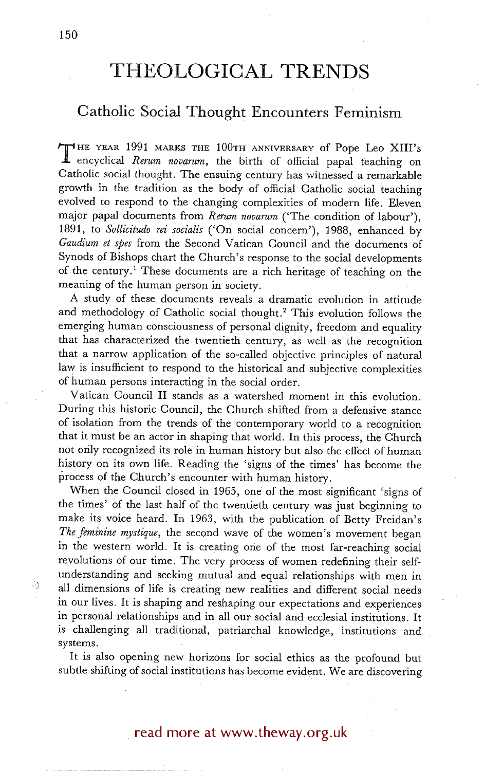# **THEOLOGICAL TRENDS**

## **Catholic Social Thought Encounters Feminism**

**T** HE YEAR 1991 MARKS THE 100TH ANNIVERSARY of Pope Leo XIll's encyclical *Rerum novarum,* the birth of official papal teaching on Catholic social thought. The ensuing century has witnessed a remarkable growth in the tradition as the body of official Catholic social teaching evolved to respond to the changing complexities of modern life. Eleven major papal documents from *Return novarum* ('The condition of labour'), 1891, to *Sollicitudo rei socialis* ('On social concern'), 1988, enhanced by *Gaudium et spes* from the Second Vatican Council and the documents of Synods of Bishops chart the Church's response to the social developments of the century.1 These documents are a rich heritage of teaching on the meaning of the human person in society.

A study of these documents reveals a dramatic evolution in attitude and methodology of Catholic social thought.<sup>2</sup> This evolution follows the emerging human consciousness of personal dignity, freedom and equality that has characterized the twentieth century, as well as the recognition that a narrow application of the so-called objective principles of natural law is insufficient to respond to the historical and subjective complexities of human persons interacting in the social order.

Vatican Council II stands as a watershed moment in this evolution. During this historic Council, the Church shifted from a defensive stance of isolation from the trends of the contemporary world to a recognition that it must be an actor in shaping that world. In this process, the Church not only recognized its role in human history but also the effect of human history on its own life. Reading the 'signs of the times' has become the process of the Church's encounter with human history.

When the Council closed in 1965, one of the most significant 'signs of the times' of the last half of the twentieth century was just beginning to make its voice heard. In 1963, with the publication of Betty Freidan's *The feminine mystique,* the second wave of the women's movement began in the western world. It is creating one of the most far-reaching social revolutions of our time. The very process of women redefining their selfunderstanding and seeking mutual and equal relationships with men in all dimensions of life is creating new realities and different social needs in our lives. It is shaping and reshaping our expectations and experiences in personal relationships and in all our social and ecclesial institutions. It is challenging all traditional, patriarchal knowledge, institutions and systems.

It is also opening new horizons for social ethics as the profound but subtle shifting of social institutions has become evident. We are discovering

## read more at www.theway.org.uk

-33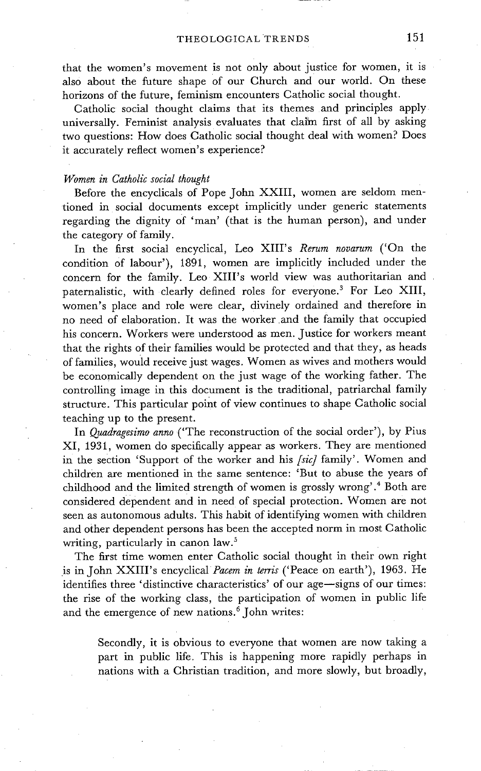that the women's movement is not only about justice for women, it is also about the future shape of our Church and our world. On these horizons of the future, feminism encounters Catholic social thought.

Catholic social thought claims that its themes and principles apply universally. Feminist analysis evaluates that claim first of all by asking two questions: How does Catholic social thought deal with women? Does it accurately reflect women's experience?

#### *Women in Catholic social thought*

Before the encyclicals of Pope John XXIII, women are seldom mentioned in social documents except implicitly under generic statements regarding the dignity of 'man' (that is the human person), and under the category of family.

In the first social encyclical, Leo XIII's *Rerum novarum* ('On the condition of labour'), 1891, women are implicitly included under the concern for the family. Leo XIII's world view was authoritarian and paternalistic, with clearly defined roles for everyone.<sup>3</sup> For Leo XIII, women's place and role were clear, divinely ordained and therefore in no need of elaboration. It was the worker .and the family that occupied his concern. Workers were understood as men. Justice for workers meant that the rights of their families would be protected and that they, as heads of families, would receive just wages. Women as wives and mothers would be economically dependent on the just wage of the working father. The controlling image in this document is the traditional, patriarchal family structure. This particular point of view continues to shape Catholic social teaching up to the present.

In *Quadragesimo anno* ('The reconstruction of the social order'), by Plus XI, 1931, women do specifically appear as workers. They are mentioned in the section 'Support of the worker and his *[sic]* family'. Women and children are mentioned in the same sentence: 'But to abuse the years of childhood and the limited strength of women is grossly wrong'.<sup>4</sup> Both are considered dependent and in need of special protection. Women are not seen as autonomous adults. This habit of identifying women with children and other dependent persons has been the accepted norm in most Catholic writing, particularly in canon law.<sup>5</sup>

The first time women enter Catholic social thought in their own right is in John XXIII's encyclical *Pacem in terris* ('Peace on earth'), 1963. He identifies three 'distinctive characteristics' of our age-signs of our times: the rise of the working class, the participation of women in public life and the emergence of new nations.<sup>6</sup> John writes:

Secondly, it is obvious to everyone that women are now taking a part in public life. This is happening more rapidly perhaps in nations with a Christian tradition, and more slowly, but broadly,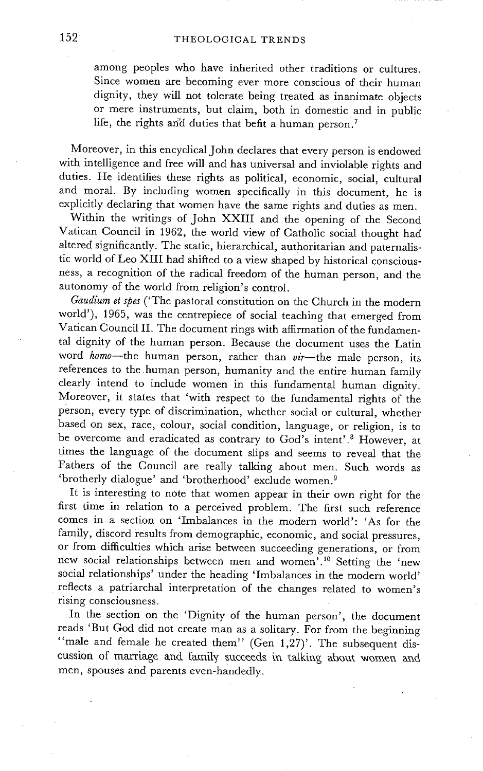among peoples who have inherited other traditions or cultures. Since women are becoming ever more conscious of their human dignity, they will not tolerate being treated as inanimate objects or mere instruments, but claim, both in domestic and in public life, the rights and duties that befit a human person.<sup>7</sup>

Moreover, in this encyclical John declares that every person is endowed with intelligence and free will and has universal and inviolable rights and duties. He identifies these rights as political, economic, social, cultural and moral. By including women specifically in this document, he is explicitly declaring that women have the same rights and duties as men.

Within the writings of John XXIII and the opening of the Second Vatican Council in 1962, the world view of Catholic social thought had altered significantly. The static, hierarchical, authoritarian and paternalistic world of Leo XIII had shifted to a view shaped by historical consciousness, a recognition of the radical freedom of the human person, and the autonomy of the world from religion's control.

*Gaudium et spes* ('The pastoral constitution on the Church in the modern world'), 1965, was the centrepiece of social teaching that emerged from Vatican Council II. The document rings with affirmation of the fundamental dignity of the human person. Because the document uses the Latin word *homo*-the human person, rather than *vir*-the male person, its references to the human person, humanity and the entire human family clearly intend to include women in this fundamental human dignity. Moreover, it states that 'with respect to the fundamental rights of the person, every type of discrimination, whether social or cultural, whether based on sex, race, colour, social condition, language, or religion, is to be overcome and eradicated as contrary to God's intent'.<sup>8</sup> However, at times the language of the document slips and seems to reveal that the Fathers of the Council are really talking about men. Such words as 'brotherly dialogue' and 'brotherhood' exclude women. 9

It is interesting to note that women appear in their own right for the first time in relation to a perceived problem. The first such reference comes in a section on 'Imbalances in the modern world': 'As for the family, discord results from demographic, economic, and social pressures, or from difficulties which arise between succeeding generations, or from new social relationships between men and women<sup>7</sup>.<sup>10</sup> Setting the 'new social relationships' under the heading 'Imbalances in the modern world' reflects a patriarchal interpretation of the changes related to women's rising consciousness.

In the section on the 'Dignity of the human person', the document reads 'But God did not create man as a solitary, For from the beginning "male and female he created them" (Gen 1,27)'. The subsequent discussion of marriage and family succeeds in talking about women and men, spouses and parents even-handedly.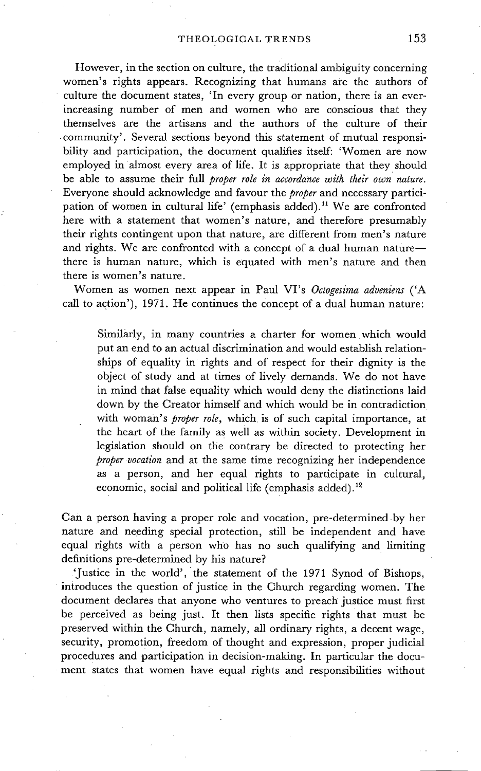However, in the section on culture, the traditional ambiguity concerning women's rights appears. Recognizing that humans are the authors of culture the document states, 'In every group or nation, there is an everincreasing number of men and women who are conscious that they themselves are the artisans and the authors of the culture of their community'. Several sections beyond this statement of mutual responsibility and participation, the document qualifies itself: 'Women are now employed in almost every area of life. It is appropriate that they should be able to assume their full *proper role in accordance with their own nature.*  Everyone should acknowledge and favour the *proper* and necessary participation of women in cultural life' (emphasis added).<sup>11</sup> We are confronted here with a statement that women's nature, and therefore presumably their rights contingent upon that nature, are different from men's nature and rights. We are confronted with a concept of a dual human naturethere is human nature, which is equated with men's nature and then there is women's nature.

Women as women next appear in Paul VI's *Octogesima adveniens* ('A call to action'), 1971. He continues the concept of a dual human nature:

Similarly, in many countries a charter for women which would put an end to an actual discrimination and would establish relationships of equality in rights and of respect for their dignity is the object of study and at times of lively demands. We do not have in mind that false equality which would deny the distinctions laid down by the Creator himself and which would be in contradiction with woman's *proper role,* which is of such capital importance, at the heart of the family as well as within society. Development in legislation should on the contrary be directed to protecting her *proper vocation* and at the same time recognizing her independence as a person, and her equal rights to participate in cultural, economic, social and political life (emphasis added).<sup>12</sup>

Can a person having a proper role and vocation, pre-determined by her nature and needing special protection, still he independent and have equal rights with a person who has no such qualifying and limiting definitions pre-determined by his nature?

'Justice in the world', the statement of the 1971 Synod of Bishops, introduces the question of justice in the Church regarding women. The document declares that anyone who ventures to preach justice must first be perceived as being just. It then lists specific rights that must be preserved within the Church, namely, all ordinary rights, a decent wage, security; promotion, freedom of thought and expression, proper judicial procedures and participation in decision-making. In particular the document states that women have equal rights and responsibilities without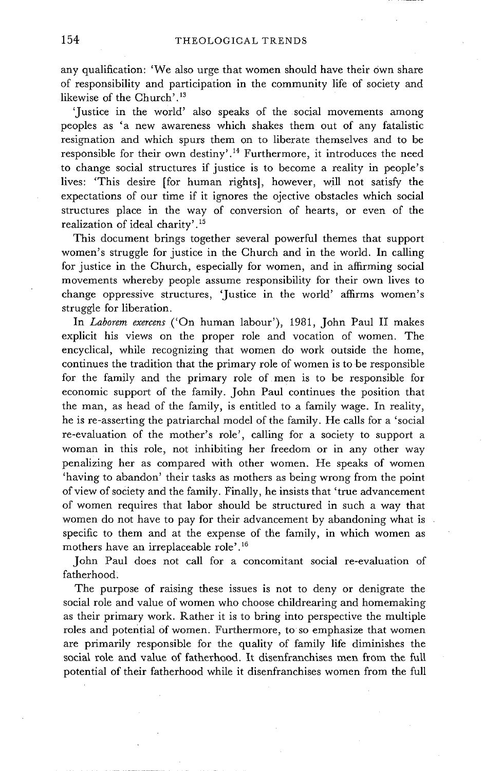any qualification: 'We also urge that women should have their own share of responsibility and participation in the community life of society and likewise of the Church'. $13$ 

'Justice in the world' also speaks of the social movements among peoples as 'a new awareness which shakes them out of any fatalistic resignation and which spurs them on to liberate themselves and to be responsible for their own destiny'.<sup>14</sup> Furthermore, it introduces the need to change social structures if justice is to become a reality in people's lives: 'This desire [for human rights], however, will not satisfy the expectations of our time if it ignores the ojective obstacles which social structures place in the way of conversion of hearts, or even of the realization of ideal charity'. 15

This document brings together several powerful themes that support women's struggle for justice in the Church and in the world. In calling for justice in the Church, especially for women, and in affirming social movements whereby people assume responsibility for their own lives to change oppressive structures, 'Justice in the world' affirms women's struggle for liberation.

In *Laborem exercens* ('On human labour'), 1981, John Paul II makes explicit his views on the proper role and vocation of women. The encyclical, while recognizing that women do work outside the home, continues the tradition that the primary role of women is to be responsible for the family and the primary role of men is to be responsible for economic support of the family. John Paul continues the position that the man, as head of the family, is entitled to a family wage. In reality, he is re-asserting the patriarchal model of the family. He calls for a 'social re-evaluation of the mother's role', calling for a society to support a woman in this role, not inhibiting her freedom or in any other way penalizing her as compared with other women. He speaks of women 'having to abandon' their tasks as mothers as being wrong from the point of view of society and the family. Finally, he insists that 'true advancement of women requires that labor should be structured in such a way that women do not have to pay for their advancement by abandoning what is specific to them and at the expense of the family, in which women as mothers have an irreplaceable role'. 16

John Paul does not call for a concomitant social re-evaluation of fatherhood:

The purpose of raising these issues is not to deny or denigrate the social role and value of women who choose childrearing and homemaking as their primary work. Rather it is to bring into perspective the multiple roles and potential of women. Furthermore, to so emphasize that women are primarily responsible for the quality of family life diminishes the social role and value of fatherhood. It disenfranchises men from the full potential of their fatherhood while it disenfranchises women from the full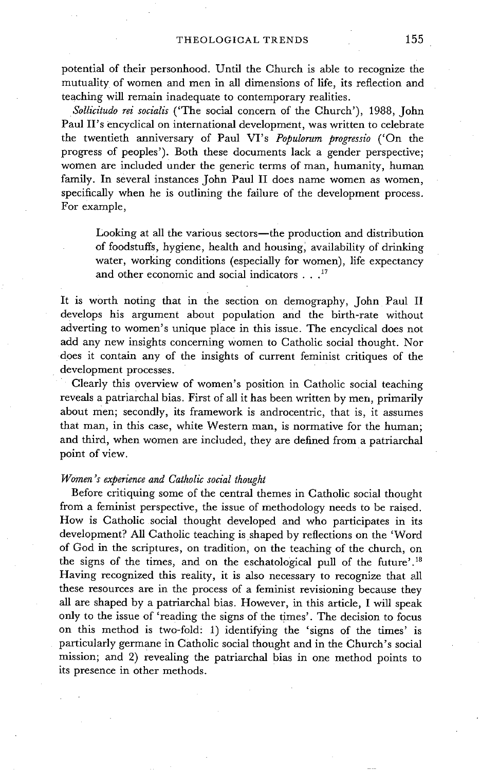potential of their personhood. Until the Church is able to recognize the mutuality of women and men in all dimensions of life, its reflection and teaching will remain inadequate to contemporary realities.

*SolIicitudo rei socialis* ('The social concern of the Church'), 1988, John Paul II's encyclical on international development, was written to celebrate the twentieth anniversary of Paul VI's *Populorum progressio* ('On the progress of peoples'). Both these documents lack a gender perspective; women are included under the generic terms of man, humanity, human family. In several instances John Paul II does name women as women, specifically when he is outlining the failure of the development process. For example,

Looking at all the various sectors--the production and distribution of foodstuffs, hygiene, health and housing, availability of drinking water, working conditions (especially for women), life expectancy and other economic and social indicators . . .<sup>17</sup>

It is worth noting that in the section on demography, John Paul II develops his argument about population and the birth-rate without adverting to women's unique place in this issue. The encyclical does not add any new insights concerning Women to Catholic social thought. Nor does it contain any of the insights of current feminist critiques of the development processes.

Clearly this overview of women's position in Catholic social teaching reveals a patriarchal bias. First of all it has been written by men, primarily about men; secondly, its framework is androcentric, that is, it assumes that man, in this case, white Western man, is normative for the human; and third, when women are included, they are defined from a patriarchal point of view.

### *Women's experience and Catholic social thought*

Before critiquing some of the central themes in Catholic social thought from a feminist perspective, the issue of methodology needs to be raised. How is Catholic social thought developed and who participates in its development? All Catholic teaching is shaped by reflections on the 'Word of God in the scriptures, on tradition, on the teaching of the church, on the signs of the times, and on the eschatological pull of the future'. 18 Having recognized this reality, it is also necessary to recognize that all these resources are in the process of a feminist revisioning because they all are shaped by a patriarchal bias. However, in this article, I will speak only to the issue of 'reading the signs of the times'. The decision to focus on this method is two-fold! 1) identifying the 'signs of the times' is particularly germane in Catholic social thought and in the Church's social mission; and 2) revealing the patriarchal bias in one method points to its presence in other methods.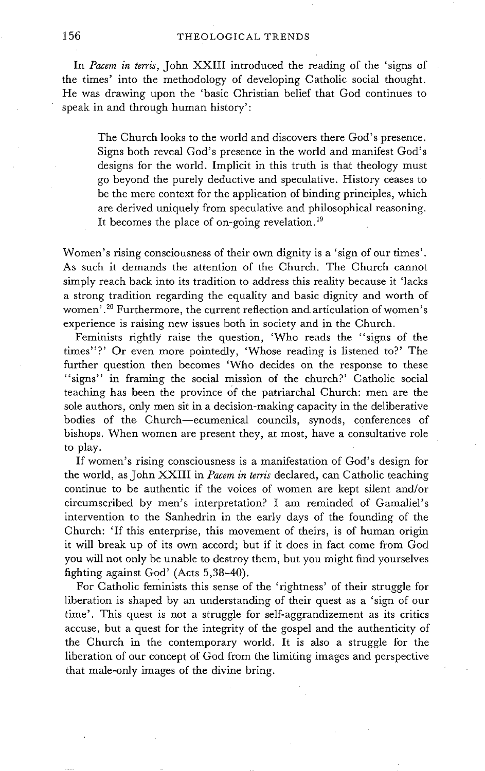In *Pacem in terris,* John XXIII introduced the reading of the 'signs of the times' into the methodology of developing Catholic social thought. He was drawing upon the 'basic Christian belief that God continues to speak in and through human history':

The Church looks to the world and discovers there God's presence. Signs both reveal God's presence in the world and manifest God's designs for the world. Implicit in this truth is that theology must go beyond the purely deductive and speculative. History ceases to be the mere context for the application of binding principles, which are derived uniquely from speculative and philosophical reasoning. It becomes the place of on-going revelation.<sup>19</sup>

Women's rising consciousness of their own dignity is a 'sign of our times'. As such it demands the attention of the Church. The Church cannot simply reach back into its tradition to address this reality because it 'lacks a strong tradition regarding the equality and basic dignity and worth of women<sup>'</sup>.<sup>20</sup> Furthermore, the current reflection and articulation of women's experience is raising new issues both in society and in the Church.

Feminists rightly raise the question, 'Who reads the "signs of the times"?' Or even more pointedly, 'Whose reading is listened to?' The further question then becomes 'Who decides on the response to these "signs" in framing the social mission of the church?" Catholic social teaching has been the province Of the patriarchal Church: men are the sole authors, only men sit in a decision-making capacity in the deliberative bodies of the Church--ecumenical councils, synods, conferences of bishops. When women are present they, at most, have a consultative role to play.

If women's rising consciousness is a manifestation of God's design for the world, as John XXIII in *Pacem in terris* declared, can Catholic teaching continue to be authentic if the voices of women are kept silent and/or circumscribed by men's interpretation? I am reminded of Gamaliel's intervention to the Sanhedrin in the early days of the founding of the Church: 'If this enterprise, this movement of theirs, is of human origin it will break up of its own accord; but if it does in fact come from God you will not only be unable to destroy them, but you might find yourselves fighting against God' (Acts 5,38-40).

For Catholic feminists this sense of the 'rightness' of their struggle for liberation is shaped by an understanding of their quest as a 'sign of our time'. This quest is not a struggle for self-aggrandizement as its critics accuse, but a quest for the integrity of the gospel and the authenticity of the Church in the contemporary world. It is also a struggle for the liberation of our concept of God from the limiting images and perspective that male-only images of the divine bring.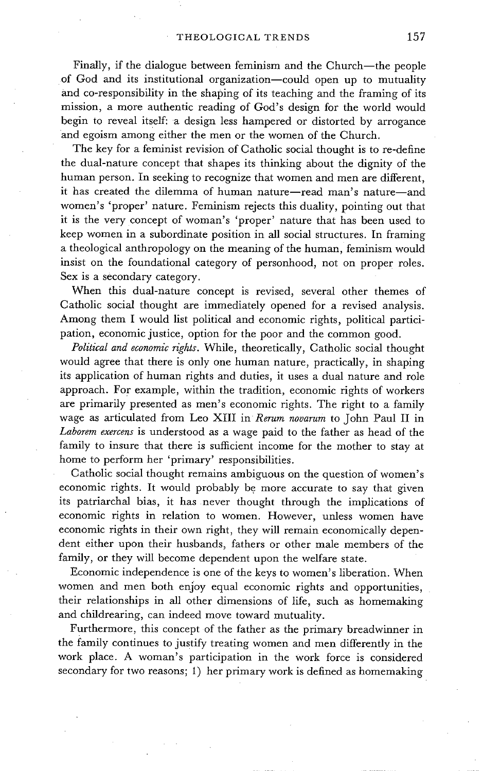Finally, if the dialogue between feminism and the Church--the people of God and its institutional organization--could open up to mutuality and co-responsibility in the shaping of its teaching and the framing of its mission, a more authentic reading of God's design for the world would begin to reveal itself: a design less hampered or distorted by arrogance and egoism among either the men or the women of the Church.

The key for a feminist revision of Catholic social thought is to re-define the dual-nature concept that shapes its thinking about the dignity of the human person. In seeking to recognize that women and men are different, it has created the dilemma of human nature-read man's nature--and women's 'proper' nature. Feminism rejects this duality, pointing out that it is the very concept of woman's 'proper' nature that has been used to keep women in a subordinate position in all social structures. In framing a theological anthropology on the meaning of the human, feminism would insist on the foundational category of personhood, not on proper roles. Sex is a secondary category.

When this dual-nature concept is revised, several other themes of Catholic social thought are immediately opened for a revised analysis. Among them I would list political and economic rights, political participation, economic justice, option for the poor and the common good.

*Political and economic rights.* While, theoretically, Catholic social thought would agree that there is only one human nature, practically, in shaping its application of human rights and duties, it uses a dual nature and role approach. For example, within the tradition, economic rights of workers are primarily presented as men's economic rights. The right to a family wage as articulated from Leo XIII in *Rerum novarum* to John Paul II in *Laborem exercens* is understood as a wage paid to the father as head of the family to insure that there is sufficient income for the mother to stay at home to perform her 'primary' responsibilities.

Catholic social thought remains ambiguous on the question of women's economic rights. It would probably be more accurate to say that given its patriarchal bias, it has never thought through the implications of economic rights in relation to women. However, unless women have economic rights in their own right, they will remain economically dependent either upon their husbands, fathers or other male members of the family, or they will become dependent upon the welfare state.

Economic independence is one of the keys to women's liberation. When women and men both enjoy equal economic rights and opportunities, their relationships in all other dimensions of life, such as homemaking and childrearing, can indeed move toward mutuality.

Furthermore, this concept of the father as the primary breadwinner in the family continues to justify treating women and men differently in the work place. A woman's participation in the work force is considered secondary for two reasons; 1) her primary work is defined as homemaking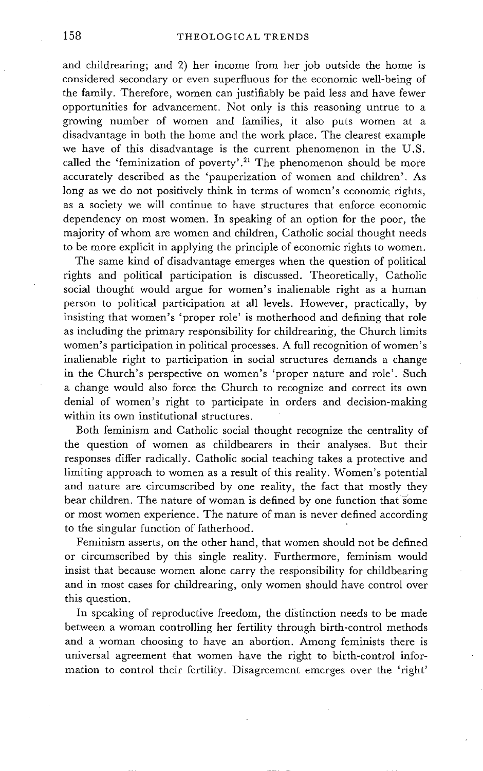and childrearing; and 2) her income from her job outside the home is considered secondary or even superfluous for the economic well-being of the family. Therefore, women can justifiably be paid less and have fewer opportunities for advancement. Not only is this reasoning untrue to a growing number of women and families, it also puts women at a disadvantage in both the home and the work place. The clearest example we have of this disadvantage is the current phenomenon in the U.S. called the 'feminization of poverty'.<sup>21</sup> The phenomenon should be more accurately described as the 'pauperization of women and children'. As long as we do not positively think in terms of women's economic rights, as a society we will continue to have structures that enforce economic dependency on most women. In speaking of an option for the poor, the majority of whom are women and children, Catholic social thought needs to be more explicit in applying the principle of economic rights to women.

The same kind of disadvantage emerges when the question of political rights and political participation is discussed. Theoretically, Catholic social thought would argue for women's inalienable right as a human person to political participation at all levels. However, practically, by insisting that women's 'proper role' is motherhood and defining that role as including the primary responsibility for childrearing, the Church limits women's participation in political processes. A full recognition of women's inalienable right to participation in social structures demands a change in the Church's perspective on women's 'proper nature and role'. Such a change would also force the Church to recognize and correct its own denial of women's right to participate in orders and decision-making within its own institutional structures.

Both feminism and Catholic social thought recognize the centrality of the question of women as childbearers in their analyses. But their responses differ radically. Catholic social teaching takes a protective and limiting approach to women as a result of this reality. Women's potential and nature are circumscribed by one reality, the fact that mostly they bear children. The nature of woman is defined by one function that some or most women experience. The nature of man is never defined according to the singular function of fatherhood.

Feminism asserts, on the other hand, that women should not be defined or circumscribed by this single reality. Furthermore, feminism would insist that because women alone carry the responsibility for childbearing and in most cases for childrearing, only women should have control over this question.

In speaking of reproductive freedom, the distinction needs to be made between a woman controlling her fertility through birth-control methods and a woman choosing to have an abortion. Among feminists there is universal agreement that women have the right to birth-control information to control their fertility. Disagreement emerges over the 'right'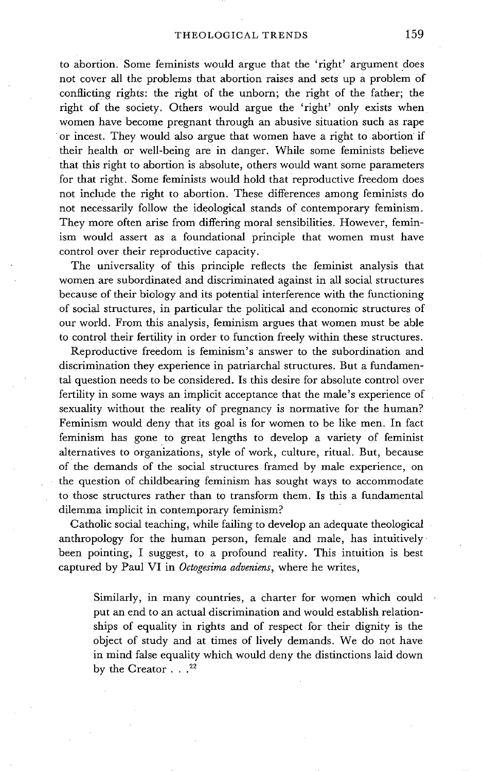to abortion. Some feminists would argue that the 'right' argument does not cover all the problems that abortion raises and sets up a problem of conflicting rights: the right of the unborn; the right of the father; the right of the society. Others would argue the 'right' only exists when women have become pregnant through an abusive situation such as rape or incest. They would also argue that women have a right to abortion if their health or well-being are in danger. While some feminists believe that this right to abortion is absolute, others would want some parameters for that right. Some feminists would hold that reproductive freedom does not include the right to abortion. These differences among feminists do not necessarily follow the ideological stands of contemporary feminism. They more often arise from differing moral sensibilities. However, feminism would assert as a foundational principle that women must have control over their reproductive capacity.

The universality of this principle reflects the feminist analysis that women are subordinated and discriminated against in all social structures because of their biology and its potential interference with the functioning of social structures, in particular the political and economic structures of our world. From this analysis, feminism argues that women must be able to control their fertility in order to function freely within these structures.

Reproductive freedom is feminism's answer to the subordination and discrimination they experience in patriarchal structures. But a fundamental question needs to be considered. Is this desire for absolute control over fertility in some ways an implicit acceptance that the male's experience of sexuality without the reality of pregnancy is normative for the human? Feminism would deny that its goal is for women to be like men. In fact feminism has gone to great lengths to develop a variety of feminist alternatives to organizations, style of work, culture, ritual. But, because of the demands of the social structures framed by male experience, on the question of childbearing feminism has sought ways to accommodate to those structures rather than to transform them. Is this a fundamental dilemma implicit in contemporary feminism?

Catholic social teaching, while failing to develop an adequate theological anthropology for the human person, female and male, has intuitively been pointing, I suggest, to a profound reality. This intuition is best captured by Paul VI in *Octogesima adveniens,* where he writes,

Similarly, in many countries, a charter for women which could put an end to an actual discrimination and would establish relationships of equality in rights and of respect for their dignity is the object of study and at times of lively demands. We do not have in mind false equality which would deny the distinctions laid down by the Creator  $\ldots^{22}$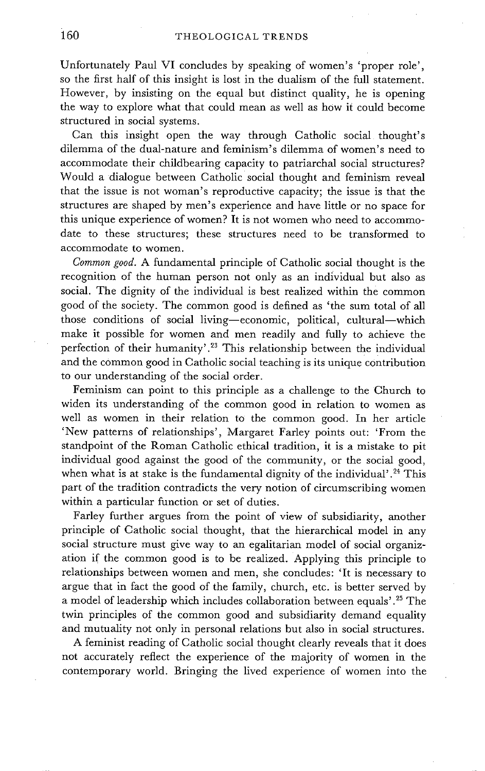Unfortunately Paul VI concludes by speaking of women's 'proper role', so the first half of this insight is lost in the dualism of the full statement. However, by insisting on the equal but distinct quality, he is opening the way to explore what that could mean as well as how it could become structured in social systems.

Can this insight open the way through Catholic social thought's dilemma of the dual-nature and feminism's dilemma of women's need to accommodate their childbearing capacity to patriarchal social structures? Would a dialogue between Catholic social thought and feminism reveal that the issue is not woman's reproductive capacity; the issue is that the structures are shaped by men's experience and have little or no space for this unique experience of women? It is not women who need to accommodate to these structures; these structures need to be transformed to accommodate to women.

*Common good.* A fundamental principle of Catholic social thought is the recognition of the human person not only as an individual but also as social. The dignity of the individual is best realized within the common good of the society. The common good is defined as 'the sum total of all those conditions of social living-economic, political, cultural-which make it possible for women and men readily and fully to achieve the perfection of their humanity'.<sup>23</sup> This relationship between the individual and the common good in Catholic social teaching is its unique contribution to our understanding of the social order.

Feminism can point to this principle as a challenge to the Church to widen its understanding of the common good in relation to women as well as women in their relation to the common good. In her article 'New patterns of relationships', Margaret Farley points out: 'From the standpoint of the Roman Catholic ethical tradition, it is a mistake to pit individual good against the good of the community, or the social good, when what is at stake is the fundamental dignity of the individual'.<sup>24</sup> This part of the tradition contradicts the very notion of circumscribing women within a particular function or set of duties.

Farley further argues from the point of view of subsidiarity, another principle of Catholic social thought, that the hierarchical model in any social structure must give way to an egalitarian model of social organization if the common good is to be realized. Applying this principle to relationships between women and men, she concludes: 'It is necessary to argue that in fact the good of the family, church, etc. is better served by a model of leadership which includes collaboration between equals' .25 The twin principles of the common good and subsidiarity demand equality and mutuality not only in personal relations but also in social structures.

A feminist reading of Catholic social thought clearly reveals that it does not accurately reflect the experience of the majority of women in the contemporary world. Bringing the lived experience of women into the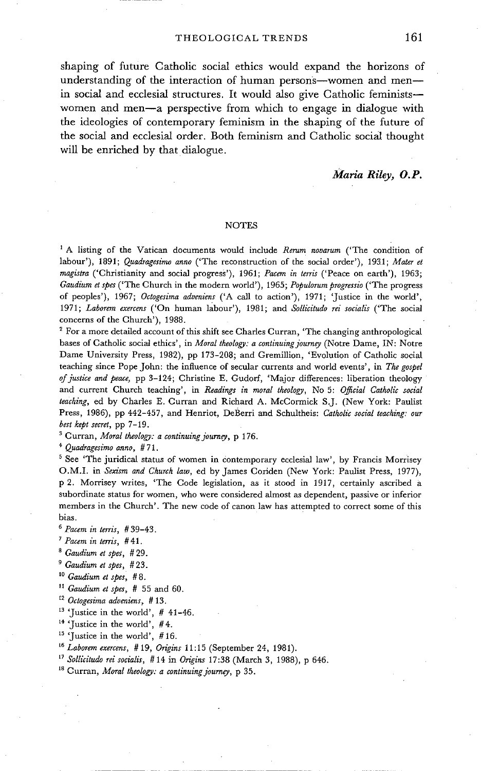shaping of future Catholic social ethics would expand the horizons of understanding of the interaction of human persons--women and men-in social and ecclesial structures. It would also give Catholic feminists-women and men-a perspective from which to engage in dialogue with the ideologies of contemporary feminism in the shaping of the future of the social and ecclesial order. Both feminism and Catholic social thought will be enriched by that dialogue.

#### *Maria Riley, O.P.*

#### **NOTES**

1 A listing of the Vatican documents would include *Rerum novarum* ('The condition of labour'), 1891; *Quadragesimo anno* ('The reconstruction of the social order'), 1931; *Mater et magistra* ('Christianity and social progress'), 1961; *Pacem in terris* ('Peace on earth'), 1963; *Gaudium et spes* ('The Church in the modern world'), 1965; *Populorum progressio* ('The progress of peoples'), 1967; *Octogesima adoeniens* ('A call to action'), 1971; 'Justice in the world', 1971; *Laborem exercens* ('On human labour'), 1981; and *Sollicitudo rei socialis* ('The social concerns of the Church'), 1988.

For a more detailed account of this shift see Charles Curran, 'The changing anthropological bases of Catholic social ethics', in *Moral theology: a continuing journey* (Notre Dame, IN: Notre Dame University Press, 1982), pp 173-208; and Gremillion, 'Evolution of Catholic social teaching since Pope John: the influence of secular currents and world events', in *The gospel of justice and peace,* pp 3-124; Christine E. Gudorf, 'Major differences: liberation theology and current Church teaching', in *Readings in moral theology,* No 5: *OJficial Catholic social teaching,* ed by Charles E. Curran and Richard A. McCormick S.J. (New York: Paulist Press, 1986), pp 442-457, and Henriot, DeBerri and Schultheis: *Catholic social teaching: our best kept secret,* pp 7-19.

<sup>3</sup> Curran, *Moral theology: a continuing journey*, p 176.

*4 Quadragesimo anno,* #71.

<sup>5</sup> See 'The juridical status of women in contemporary ecclesial law', by Francis Morrisey O.M.I. in *Sexism and Church law,* ed by James Coriden (New York: Paulist Press, 1977), p 2. Morrisey writes, 'The Code legislation, as it stood in 1917, certainly ascribed a subordinate status for women, who were considered almost as dependent, passive or inferior members in the Church'. The new code of canon law has attempted to correct some of this bias.

*6 Pacem in terris, #* 39-43.

- *7 Pacem in terris, # 41.*
- *s Gaudium et spes, #* 29.
- *s Gaudium et spes, #* 23.
- 10 *Gaudium et spes, # 8.*
- *li Gaudium et spes, #* 55 and 60.
- *m Octogesima adveniens, #* 13.
- $13$  'Justice in the world', # 41-46.
- 14 'Justice in the world', #4.
- <sup>15</sup> 'Justice in the world',  $#16$ .
- *16 Laborem exercens, #* 19, *Origins* 11:15 (September 24, 1981).
- *17 Sollicitudo rei socialis, #* 14 in *Origins* 17:38 (March 3, 1988), p 646.
- 18 Curran, *Moral theology: a continuing journey,* p 35.